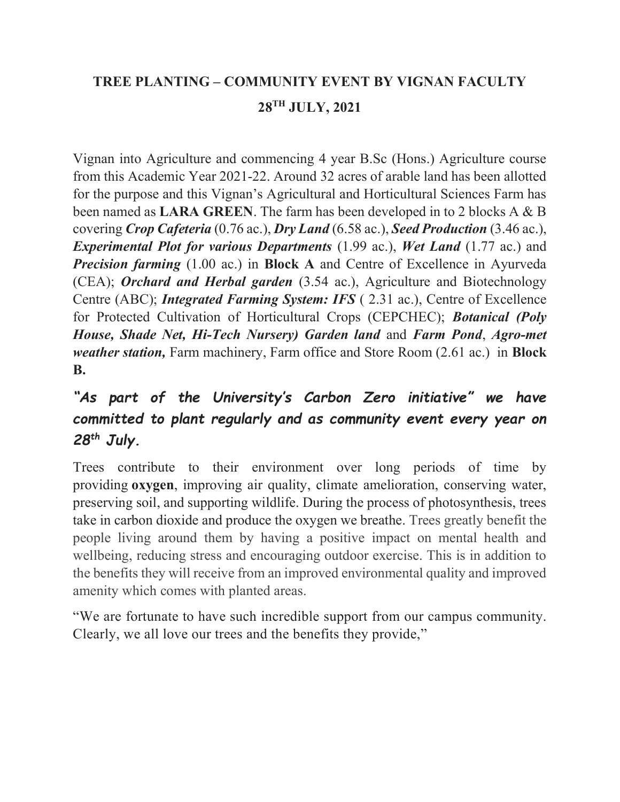## TREE PLANTING – COMMUNITY EVENT BY VIGNAN FACULTY 28TH JULY, 2021

Vignan into Agriculture and commencing 4 year B.Sc (Hons.) Agriculture course from this Academic Year 2021-22. Around 32 acres of arable land has been allotted for the purpose and this Vignan's Agricultural and Horticultural Sciences Farm has been named as LARA GREEN. The farm has been developed in to 2 blocks A & B covering Crop Cafeteria (0.76 ac.), Dry Land (6.58 ac.), Seed Production (3.46 ac.), Experimental Plot for various Departments (1.99 ac.), Wet Land (1.77 ac.) and **Precision farming** (1.00 ac.) in **Block A** and Centre of Excellence in Ayurveda (CEA); **Orchard and Herbal garden** (3.54 ac.), Agriculture and Biotechnology Centre (ABC); Integrated Farming System: IFS ( 2.31 ac.), Centre of Excellence for Protected Cultivation of Horticultural Crops (CEPCHEC); Botanical (Poly House, Shade Net, Hi-Tech Nursery) Garden land and Farm Pond, Agro-met weather station, Farm machinery, Farm office and Store Room (2.61 ac.) in **Block** B.

## "As part of the University's Carbon Zero initiative" we have committed to plant regularly and as community event every year on 28<sup>th</sup> July.

Trees contribute to their environment over long periods of time by providing oxygen, improving air quality, climate amelioration, conserving water, preserving soil, and supporting wildlife. During the process of photosynthesis, trees take in carbon dioxide and produce the oxygen we breathe. Trees greatly benefit the people living around them by having a positive impact on mental health and wellbeing, reducing stress and encouraging outdoor exercise. This is in addition to the benefits they will receive from an improved environmental quality and improved amenity which comes with planted areas.

"We are fortunate to have such incredible support from our campus community. Clearly, we all love our trees and the benefits they provide,"